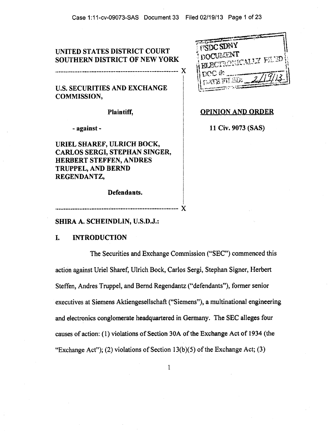# **UNITED STATES DISTRICT COURT SOUTHERN DISTRICT OF NEW YORK**

**U.S. SECURITIES AND EXCHANGE COMMISSION,** 

**Plaintiff,** 

**- against -** 

**URIEL SHAREF, ULRICH BOCK, CARLOS SERGI, STEPHAN SINGER, HERBERT STEFFEN, ANDRES TRUPPEL, AND BERND REGENDANTZ,** 

**Defendants.** 

| <b>ITSDC SDAY</b>           |
|-----------------------------|
|                             |
| DOCUMENT                    |
| <b>BLECTRONICALLY FILMP</b> |
|                             |
|                             |
| nce a                       |
|                             |
| <b>AGE ITE STANT</b>        |
|                             |
|                             |

**OPINION AND ORDER** 

**11 Civ. 9073 (SAS)** 

X

#### **SHIRA A. SCHEINDLIN, U.S.D.J.:**

#### **I. INTRODUCTION**

The Securities and Exchange Commission ("SEC") commenced this action against Uriel Sharef, Ulrich Bock, Carlos Sergi, Stephan Signer, Herbert Steffen, Andres Truppel, and Bernd Regendantz ("defendants"), former senior executives at Siemens Aktiengesellschaft ("Siemens"), a multinational engineering and electronics conglomerate headquartered in Germany. The SEC alleges four causes of action: (1) violations of Section 30A of the Exchange Act of 1934 (the "Exchange Act"); (2) violations of Section 13(b)(5) of the Exchange Act; (3)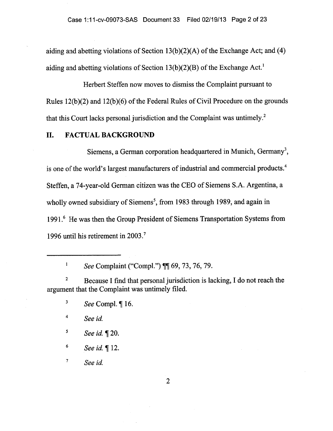aiding and abetting violations of Section 13(b)(2)(A) of the Exchange Act; and (4) aiding and abetting violations of Section  $13(b)(2)(B)$  of the Exchange Act.<sup>1</sup>

Herbert Steffen now moves to dismiss the Complaint pursuant to Rules 12(b)(2) and 12(b)(6) of the Federal Rules of Civil Procedure on the grounds that this Court lacks personal jurisdiction and the Complaint was untimely.<sup>2</sup>

# **II. FACTUAL BACKGROUND**

Siemens, a German corporation headquartered in Munich, Germany<sup>3</sup>, is one of the world's largest manufacturers of industrial and commercial products.4 Steffen, a 74-year-old German citizen was the CEO of Siemens S.A. Argentina, a wholly owned subsidiary of Siemens<sup>5</sup>, from 1983 through 1989, and again in 1991.6 He was then the Group President of Siemens Transportation Systems from 1996 until his retirement in 2003.7

*See* Complaint ("Compl.") ¶¶ 69, 73, 76, 79.

<sup>2</sup> Because I find that personal jurisdiction is lacking, I do not reach the argument that the Complaint was untimely filed.

<sup>4</sup>*See id* 

 $\mathbf{1}$ 

<sup>5</sup>*See id.* ¶ 20.

<sup>6</sup>*See id.* ¶ 12.

<sup>7</sup>*See id.* 

 $\overline{2}$ 

 $3$  See Compl.  $\P$  16.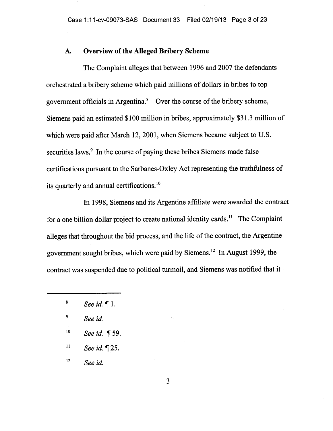## **A. Overview of the Alleged Bribery Scheme**

The Complaint alleges that between 1996 and 2007 the defendants orchestrated a bribery scheme which paid millions of dollars in bribes to top government officials in Argentina.' Over the course of the bribery scheme, Siemens paid an estimated \$100 million in bribes, approximately \$31.3 million of which were paid after March 12, 2001, when Siemens became subject to U.S. securities laws.<sup>9</sup> In the course of paying these bribes Siemens made false certifications pursuant to the Sarbanes-Oxley Act representing the truthfulness of its quarterly and annual certifications.'

In 1998, Siemens and its Argentine affiliate were awarded the contract for a one billion dollar project to create national identity cards.<sup>11</sup> The Complaint alleges that throughout the bid process, and the life of the contract, the Argentine government sought bribes, which were paid by Siemens.<sup>12</sup> In August 1999, the contract was suspended due to political turmoil, and Siemens was notified that it

- <sup>10</sup> See id. ¶ 59.
- $11$  See id.  $\P$  25.
- <sup>12</sup>*See id.*

3

<sup>8</sup>*See id. 411* **1.** 

<sup>9</sup>*See id.*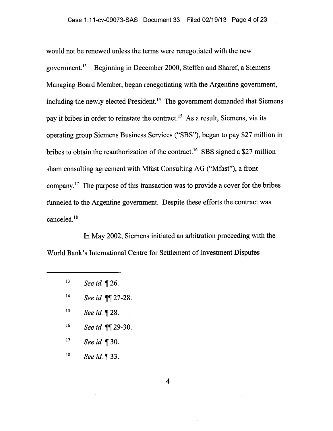would not be renewed unless the terms were renegotiated with the new government.<sup>13</sup> Beginning in December 2000, Steffen and Sharef, a Siemens Managing Board Member, began renegotiating with the Argentine government, including the newly elected President.<sup>14</sup> The government demanded that Siemens pay it bribes in order to reinstate the contract.<sup>15</sup> As a result, Siemens, via its operating group Siemens Business Services ("SBS"), began to pay \$27 million in bribes to obtain the reauthorization of the contract.<sup>16</sup> SBS signed a \$27 million sham consulting agreement with Mfast Consulting AG ("Mfast"), a front company." The purpose of this transaction was to provide a cover for the bribes funneled to the Argentine government. Despite these efforts the contract was canceled.<sup>18</sup>

In May 2002, Siemens initiated an arbitration proceeding with the World Bank's International Centre for Settlement of Investment Disputes

- <sup>15</sup> See id. ¶ 28.
- <sup>16</sup> See id. **[1]** 29-30.
- 17 See id. **[30.**]
- <sup>18</sup> See id. ¶ 33.

4

 $13$  See id.  $\P$  26.

<sup>14</sup>*See id. ¶¶* 27-28.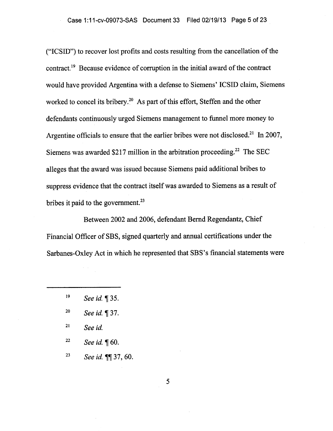("ICSID") to recover lost profits and costs resulting from the cancellation of the contract.<sup>19</sup> Because evidence of corruption in the initial award of the contract would have provided Argentina with a defense to Siemens' ICSID claim, Siemens worked to concel its bribery.<sup>20</sup> As part of this effort, Steffen and the other defendants continuously urged Siemens management to funnel more money to Argentine officials to ensure that the earlier bribes were not disclosed.<sup>21</sup> In 2007, Siemens was awarded \$217 million in the arbitration proceeding.<sup>22</sup> The SEC alleges that the award was issued because Siemens paid additional bribes to suppress evidence that the contract itself was awarded to Siemens as a result of bribes it paid to the government.<sup>23</sup>

Between 2002 and 2006, defendant Bernd Regendantz, Chief Financial Officer of SBS, signed quarterly and annual certifications under the Sarbanes-Oxley Act in which he represented that SBS's financial statements were

- <sup>21</sup>*See id.*
- <sup>22</sup> See id.  $\P$  60.
- <sup>23</sup>*See id ¶¶* 37, 60.

5

<sup>19</sup> See id. **1**35.

<sup>&</sup>lt;sup>20</sup> See id. ¶ 37.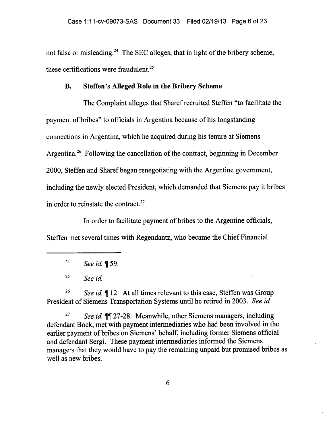not false or misleading.<sup>24</sup> The SEC alleges, that in light of the bribery scheme, these certifications were fraudulent.<sup>25</sup>

## **B. Steffen's Alleged Role in the Bribery Scheme**

The Complaint alleges that Sharef recruited Steffen "to facilitate the payment of bribes" to officials in Argentina because of his longstanding connections in Argentina, which he acquired during his tenure at Siemens Argentina.<sup>26</sup> Following the cancellation of the contract, beginning in December 2000, Steffen and Sharef began renegotiating with the Argentine government, including the newly elected President, which demanded that Siemens pay it bribes in order to reinstate the contract. $27$ 

In order to facilitate payment of bribes to the Argentine officials, Steffen met several times with Regendantz, who became the Chief Financial

<sup>24</sup>*See id.* ¶ 59.

<sup>25</sup>*See id.* 

<sup>26</sup> See id. ¶ 12. At all times relevant to this case, Steffen was Group President of Siemens Transportation Systems until he retired in 2003. *See id.* 

<sup>27</sup> *See id.* **11** 27-28. Meanwhile, other Siemens managers, including defendant Bock, met with payment intermediaries who had been involved in the earlier payment of bribes on Siemens' behalf, including former Siemens official and defendant Sergi. These payment intermediaries informed the Siemens managers that they would have to pay the remaining unpaid but promised bribes as well as new bribes.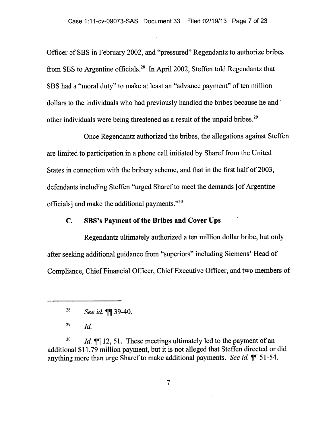Officer of SBS in February 2002, and "pressured" Regendantz to authorize bribes from SBS to Argentine officials.<sup>28</sup> In April 2002, Steffen told Regendantz that SBS had a "moral duty" to make at least an "advance payment" of ten million dollars to the individuals who had previously handled the bribes because he and other individuals were being threatened as a result of the unpaid bribes.<sup>29</sup>

Once Regendantz authorized the bribes, the allegations against Steffen are limited to participation in a phone call initiated by Sharef from the United States in connection with the bribery scheme, and that in the first half of 2003, defendants including Steffen "urged Sharef to meet the demands [of Argentine officials] and make the additional payments."3°

# **C. SBS's Payment of the Bribes and Cover Ups**

Regendantz ultimately authorized a ten million dollar bribe, but only after seeking additional guidance from "superiors" including Siemens' Head of Compliance, Chief Financial Officer, Chief Executive Officer, and two members of

<sup>30</sup> *Id.* **¶** 12, 51. These meetings ultimately led to the payment of an additional \$11.79 million payment, but it is not alleged that Steffen directed or did anything more than urge Sharef to make additional payments. *See id. ¶¶* 51-54.

<sup>28</sup>*See id. ¶¶* 39-40.

<sup>29</sup>*Id.*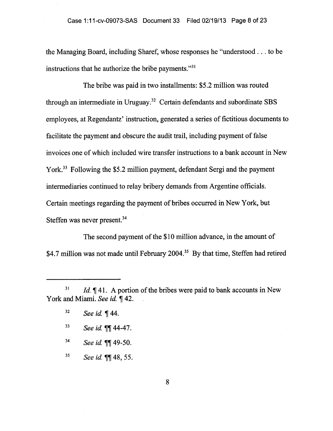the Managing Board, including Sharef, whose responses he "understood . . . to be instructions that he authorize the bribe payments."<sup>31</sup>

The bribe was paid in two installments: \$5.2 million was routed through an intermediate in Uruguay.<sup>32</sup> Certain defendants and subordinate SBS employees, at Regendantz' instruction, generated a series of fictitious documents to facilitate the payment and obscure the audit trail, including payment of false invoices one of which included wire transfer instructions to a bank account in New York.<sup>33</sup> Following the \$5.2 million payment, defendant Sergi and the payment intermediaries continued to relay bribery demands from Argentine officials. Certain meetings regarding the payment of bribes occurred in New York, but Steffen was never present.<sup>34</sup>

The second payment of the \$10 million advance, in the amount of \$4.7 million was not made until February 2004.<sup>35</sup> By that time, Steffen had retired

- <sup>33</sup> See id. **11**44-47.
- <sup>34</sup> See id. **[1149-50.**
- <sup>35</sup>*See id. 71* 48, 55.

<sup>&</sup>lt;sup>31</sup> *Id.*  $\P$  41. A portion of the bribes were paid to bank accounts in New York and Miami. *See id.* ¶ 42.

<sup>&</sup>lt;sup>32</sup> See id. ¶ 44.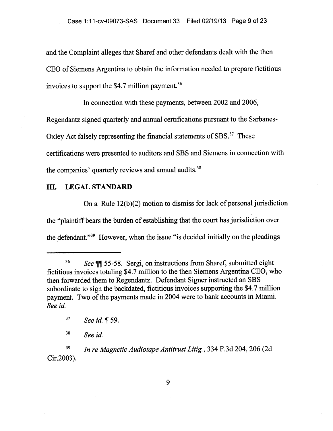and the Complaint alleges that Sharef and other defendants dealt with the then CEO of Siemens Argentina to obtain the information needed to prepare fictitious invoices to support the  $$4.7$  million payment.<sup>36</sup>

In connection with these payments, between 2002 and 2006, Regendantz signed quarterly and annual certifications pursuant to the Sarbanes-Oxley Act falsely representing the financial statements of SBS.<sup>37</sup> These certifications were presented to auditors and SBS and Siemens in connection with the companies' quarterly reviews and annual audits.<sup>38</sup>

# **III. LEGAL STANDARD**

On a Rule 12(b)(2) motion to dismiss for lack of personal jurisdiction the "plaintiff bears the burden of establishing that the court has jurisdiction over the defendant."39 However, when the issue "is decided initially on the pleadings

<sup>37</sup> See id. ¶ 59.

<sup>&</sup>lt;sup>36</sup> *See* II 55-58. Sergi, on instructions from Sharef, submitted eight fictitious invoices totaling \$4.7 million to the then Siemens Argentina CEO, who then forwarded them to Regendantz. Defendant Signer instructed an SBS subordinate to sign the backdated, fictitious invoices supporting the \$4.7 million payment. Two of the payments made in 2004 were to bank accounts in Miami. *See id.* 

<sup>38</sup>*See id.* 

<sup>39</sup> *In re Magnetic Audiotape Antitrust Litig.,* 334 F.3d 204, 206 (2d Cir.2003).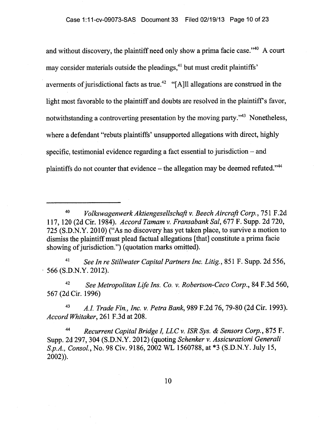and without discovery, the plaintiff need only show a prima facie case." $40$  A court may consider materials outside the pleadings,<sup>41</sup> but must credit plaintiffs' averments of jurisdictional facts as true.<sup>42</sup> "[A]ll allegations are construed in the light most favorable to the plaintiff and doubts are resolved in the plaintiff's favor, notwithstanding a controverting presentation by the moving party."<sup>43</sup> Nonetheless, where a defendant "rebuts plaintiffs' unsupported allegations with direct, highly specific, testimonial evidence regarding a fact essential to jurisdiction — and plaintiffs do not counter that evidence — the allegation may be deemed refuted."'

<sup>41</sup>*See In re Stillwater Capital Partners Inc. Litig.,* 851 F. Supp. 2d 556, 566 (S.D.N.Y. 2012).

42 *See Metropolitan Life Ins. Co. v. Robertson-Ceco Corp.,* 84 F.3d 560, 567 (2d Cir. 1996)

*A.I. 43 Trade Fin., Inc. v. Petra Bank,* 989 F.2d 76, 79-80 (2d Cir. 1993). *Accord Whitaker,* 261 F.3d at 208.

<sup>44</sup>*Recurrent Capital Bridge I, LLC v. ISR Sys. & Sensors Corp.,* 875 F. Supp. 2d 297, 304 (S.D.N.Y. 2012) (quoting *Schenker v. Assicurazioni Generali S.p.A., Consol.,* No. 98 Civ. 9186, 2002 WL 1560788, at \*3 (S.D.N.Y. July 15, 2002)).

<sup>40</sup> *Volk,swagenwerk Aktiengesellschaft v. Beech Aircraft Corp.,* 751 F.2d 117, 120 (2d Cir. 1984). *Accord Tamam v. Fransabank Sal,* 677 F. Supp. 2d 720, 725 (S.D.N.Y. 2010) ("As no discovery has yet taken place, to survive a motion to dismiss the plaintiff must plead factual allegations [that] constitute a prima facie showing of jurisdiction.") (quotation marks omitted).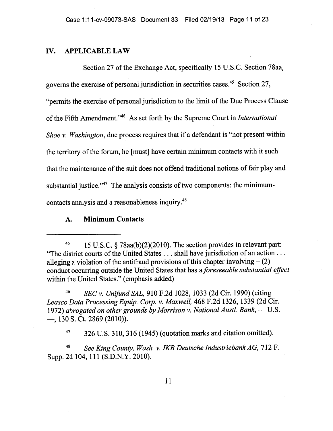### **IV. APPLICABLE LAW**

Section 27 of the Exchange Act, specifically 15 U.S.C. Section 78aa, governs the exercise of personal jurisdiction in securities cases." Section 27, "permits the exercise of personal jurisdiction to the limit of the Due Process Clause of the Fifth Amendment."<sup>46</sup> As set forth by the Supreme Court in *International Shoe v. Washington, due process requires that if a defendant is "not present within* the territory of the forum, he [must] have certain minimum contacts with it such that the maintenance of the suit does not offend traditional notions of fair play and substantial justice."<sup>47</sup> The analysis consists of two components: the minimumcontacts analysis and a reasonableness inquiry.<sup>48</sup>

# **A. Minimum Contacts**

<sup>46</sup>*SEC v. Unifund SAL,* 910 F.2d 1028, 1033 (2d Cir. 1990) (citing *Leasco Data Processing Equip. Corp. v. Maxwell,* 468 F.2d 1326, 1339 (2d Cir. 1972) *abrogated on other grounds by Morrison v. National Austl. Bank, — U.S.*  —, 130 S. Ct. 2869 (2010)).

 $47$  326 U.S. 310, 316 (1945) (quotation marks and citation omitted).

<sup>48</sup>*See King County, Wash. v. IKB Deutsche Industriebank AG,* 712 F. Supp. 2d 104, 111 (S.D.N.Y. 2010).

<sup>45</sup> 15 U.S.C. § 78aa(b)(2)(2010). The section provides in relevant part: "The district courts of the United States . . . shall have jurisdiction of an action . . . alleging a violation of the antifraud provisions of this chapter involving  $- (2)$  conduct occurring outside the United States that has a *foreseeable substantial effect*  within the United States." (emphasis added)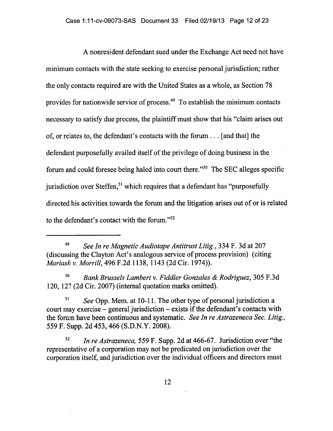A nonresident defendant sued under the Exchange Act need not have minimum contacts with the state seeking to exercise personal jurisdiction; rather the only contacts required are with the United States as a whole, as Section 78 provides for nationwide service of process. $^{49}$  To establish the minimum contacts necessary to satisfy due process, the plaintiff must show that his "claim arises out of, or relates to, the defendant's contacts with the forum . . . [and that] the defendant purposefully availed itself of the privilege of doing business in the forum and could foresee being haled into court there." $50$  The SEC alleges specific jurisdiction over Steffen,<sup>51</sup> which requires that a defendant has "purposefully directed his activities towards the forum and the litigation arises out of or is related to the defendant's contact with the forum."<sup>52</sup>

49 *See In re Magnetic Audiotape Antitrust Litig.,* 334 F. 3d at 207 (discussing the Clayton Act's analogous service of process provision) (citing *Mariash v. Morrill,* 496 F.2d 1138, 1143 (2d Cir. 1974)).

50 *Bank Brussels Lambert v. Fiddler Gonzales & Rodriguez,* 305 F.3d 120, 127 (2d Cir. 2007) (internal quotation marks omitted).

*51 See* Opp. Mem. at 10-11. The other type of personal jurisdiction a court may exercise — general jurisdiction — exists if the defendant's contacts with the forum have been continuous and systematic. *See In re Astrazeneca Sec. Litig.,*  559 F. Supp. 2d 453, 466 (S.D.N.Y. 2008).

52 *In re Astrazeneca,* 559 F. Supp. 2d at 466-67. Jurisdiction over "the representative of a corporation may not be predicated on jurisdiction over the corporation itself, and jurisdiction over the individual officers and directors must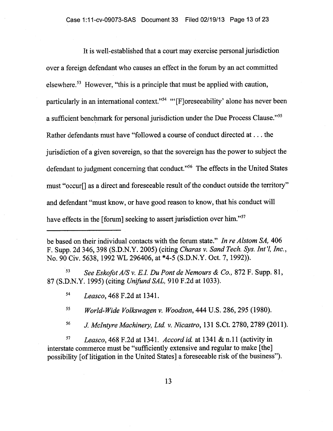It is well-established that a court may exercise personal jurisdiction over a foreign defendant who causes an effect in the forum by an act committed elsewhere.<sup>53</sup> However, "this is a principle that must be applied with caution, particularly in an international context."<sup>54</sup> "[F]oreseeability' alone has never been a sufficient benchmark for personal jurisdiction under the Due Process Clause."<sup>55</sup> Rather defendants must have "followed a course of conduct directed at . . . the jurisdiction of a given sovereign, so that the sovereign has the power to subject the defendant to judgment concerning that conduct."<sup>56</sup> The effects in the United States must "occur[] as a direct and foreseeable result of the conduct outside the territory" and defendant "must know, or have good reason to know, that his conduct will have effects in the [forum] seeking to assert jurisdiction over him."<sup>37</sup>

be based on their individual contacts with the forum state." *In re Alstom SA,* 406 F. Supp. 2d 346, 398 (S.D.N.Y. 2005) (citing *Charas v. Sand Tech. Sys. Intl, Inc.,*  No. 90 Civ. 5638, 1992 WL 296406, at \*4-5 (S.D.N.Y. Oct. 7, 1992)).

<sup>53</sup>*See Eskofot A/S v. E.I. Du Pont de Nemours & Co.,* 872 F. Supp. 81, 87 (S.D.N.Y. 1995) (citing *Unifund SAL,* 910 F.2d at 1033).

<sup>54</sup>*Leasco,* 468 F.2d at 1341.

<sup>55</sup>*World-Wide Volkswagen v. Woodson,* 444 U.S. 286, 295 (1980).

<sup>56</sup>*J McIntyre Machinery, Ltd. v. Nicastro,* 131 S.Ct. 2780, 2789 (2011).

<sup>57</sup>*Leasco,* 468 F.2d at 1341. *Accord id.* at 1341 & n.11 (activity in interstate commerce must be "sufficiently extensive and regular to make [the] possibility [of litigation in the United States] a foreseeable risk of the business").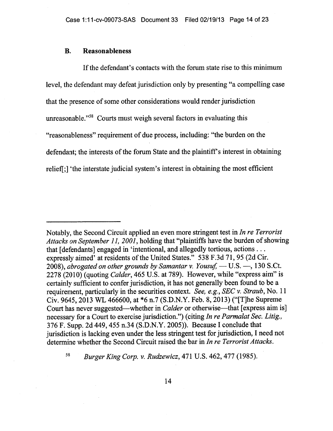## **B. Reasonableness**

If the defendant's contacts with the forum state rise to this minimum level, the defendant may defeat jurisdiction only by presenting "a compelling case that the presence of some other considerations would render jurisdiction unreasonable."<sup>58</sup> Courts must weigh several factors in evaluating this "reasonableness" requirement of due process, including: "the burden on the defendant; the interests of the forum State and the plaintiff's interest in obtaining relief[;] 'the interstate judicial system's interest in obtaining the most efficient

58 *Burger King Corp. v. Rudzewicz,* 471 U.S. 462, 477 (1985).

Notably, the Second Circuit applied an even more stringent test in *In re Terrorist Attacks on September 11, 2001,* holding that "plaintiffs have the burden of showing that [defendants] engaged in 'intentional, and allegedly tortious, actions . . . expressly aimed' at residents of the United States." 538 F.3d 71, 95 (2d Cir. 2008), *abrogated on other grounds by Samantar v. Yousuf, —U.S. —,* 130 S.Ct. 2278 (2010) (quoting *Calder,* 465 U.S. at 789). However, while "express aim" is certainly sufficient to confer jurisdiction, it has not generally been found to be a requirement, particularly in the securities context. *See, e.g., SEC v. Straub,* No. 11 Civ. 9645, 2013 WL 466600, at \*6 n.7 (S.D.N.Y. Feb. 8, 2013) ("[T]he Supreme Court has never suggested—whether in *Calder* or otherwise—that [express aim is] necessary for a Court to exercise jurisdiction.") (citing *In re Parmalat Sec. Litig.,*  376 F. Supp. 2d 449, 455 n.34 (S.D.N.Y. 2005)). Because I conclude that jurisdiction is lacking even under the less stringent test for jurisdiction, I need not determine whether the Second Circuit raised the bar in *In re Terrorist Attacks.*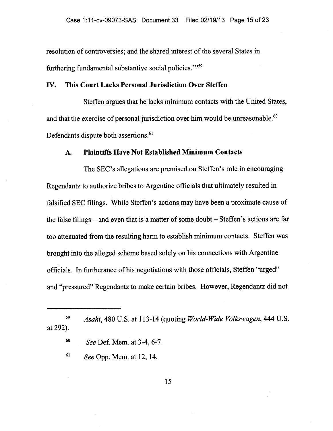resolution of controversies; and the shared interest of the several States in furthering fundamental substantive social policies."<sup>59</sup>

## **IV. This Court Lacks Personal Jurisdiction Over Steffen**

Steffen argues that he lacks minimum contacts with the United States, and that the exercise of personal jurisdiction over him would be unreasonable.<sup>60</sup> Defendants dispute both assertions.<sup>61</sup>

### **A. Plaintiffs Have Not Established Minimum Contacts**

The SEC's allegations are premised on Steffen's role in encouraging Regendantz to authorize bribes to Argentine officials that ultimately resulted in falsified SEC filings. While Steffen's actions may have been a proximate cause of the false filings — and even that is a matter of some doubt — Steffen's actions are far too attenuated from the resulting harm to establish minimum contacts. Steffen was brought into the alleged scheme based solely on his connections with Argentine officials. In furtherance of his negotiations with those officials, Steffen "urged" and "pressured" Regendantz to make certain bribes. However, Regendantz did not

<sup>59</sup>*Asahi,* 480 U.S. at 113-14 (quoting *World-Wide Volkswagen,* 444 U.S. at 292).

<sup>60</sup>*See* Def. Mem. at 3-4, 6-7.

<sup>61</sup>*See* Opp. Mem. at 12, 14.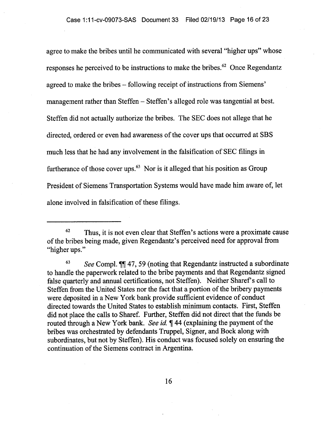agree to make the bribes until he communicated with several "higher ups" whose responses he perceived to be instructions to make the bribes.<sup>62</sup> Once Regendantz agreed to make the bribes — following receipt of instructions from Siemens' management rather than Steffen — Steffen's alleged role was tangential at best. Steffen did not actually authorize the bribes. The SEC does not allege that he directed, ordered or even had awareness of the cover ups that occurred at SBS much less that he had any involvement in the falsification of SEC filings in furtherance of those cover ups. $<sup>63</sup>$  Nor is it alleged that his position as Group</sup> President of Siemens Transportation Systems would have made him aware of, let alone involved in falsification of these filings.

 $62$  Thus, it is not even clear that Steffen's actions were a proximate cause of the bribes being made, given Regendantz's perceived need for approval from "higher ups."

<sup>63</sup>*See* Compl. 7147, 59 (noting that Regendantz instructed a subordinate to handle the paperwork related to the bribe payments and that Regendantz signed false quarterly and annual certifications, not Steffen). Neither Sharef's call to Steffen from the United States nor the fact that a portion of the bribery payments were deposited in a New York bank provide sufficient evidence of conduct directed towards the United States to establish minimum contacts. First, Steffen did not place the calls to Sharef. Further, Steffen did not direct that the funds be routed through a New York bank. *See id. ¶* 44 (explaining the payment of the bribes was orchestrated by defendants Truppel, Signer, and Bock along with subordinates, but not by Steffen). His conduct was focused solely on ensuring the continuation of the Siemens contract in Argentina.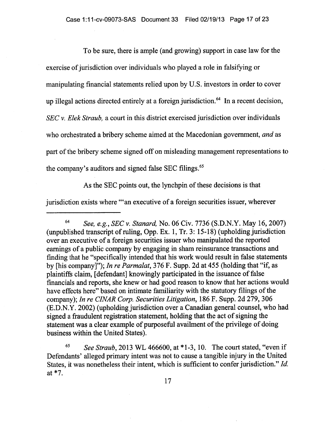To be sure, there is ample (and growing) support in case law for the exercise of jurisdiction over individuals who played a role in falsifying or manipulating financial statements relied upon by U.S. investors in order to cover up illegal actions directed entirely at a foreign jurisdiction.<sup>64</sup> In a recent decision, *SEC v. Elek Straub,* a court in this district exercised jurisdiction over individuals who orchestrated a bribery scheme aimed at the Macedonian government, *and* as part of the bribery scheme signed off on misleading management representations to the company's auditors and signed false SEC filings.'

As the SEC points out, the lynchpin of these decisions is that

jurisdiction exists where "'an executive of a foreign securities issuer, wherever

<sup>65</sup>*See Straub,* 2013 WL 466600, at \*1-3, 10. The court stated, "even if Defendants' alleged primary intent was not to cause a tangible injury in the United States, it was nonetheless their intent, which is sufficient to confer jurisdiction." *Id.*  at \*7.

<sup>64</sup>*See, e.g., SEC v. Stanard,* No. 06 Civ. 7736 (S.D.N.Y. May 16, 2007) (unpublished transcript of ruling, Opp. Ex. 1, Tr. 3: 15-18) (upholding jurisdiction over an executive of a foreign securities issuer who manipulated the reported earnings of a public company by engaging in sham reinsurance transactions and finding that he "specifically intended that his work would result in false statements by [his company]"); *In re Parmalat,* 376 F. Supp. 2d at 455 (holding that "if, as plaintiffs claim, [defendant] knowingly participated in the issuance of false financials and reports, she knew or had good reason to know that her actions would have effects here" based on intimate familiarity with the statutory filings of the company); *In re CINAR Corp. Securities Litigation,* 186 F. Supp. 2d 279, 306 (E.D.N.Y. 2002) (upholding jurisdiction over a Canadian general counsel, who had signed a fraudulent registration statement, holding that the act of signing the statement was a clear example of purposeful availment of the privilege of doing business within the United States).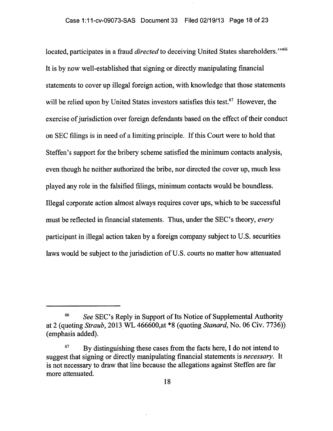located, participates in a fraud *directed* to deceiving United States shareholders."<sup>66</sup> It is by now well-established that signing or directly manipulating financial statements to cover up illegal foreign action, with knowledge that those statements will be relied upon by United States investors satisfies this test.<sup>67</sup> However, the exercise of jurisdiction over foreign defendants based on the effect of their conduct on SEC filings is in need of a limiting principle. If this Court were to hold that Steffen's support for the bribery scheme satisfied the minimum contacts analysis, even though he neither authorized the bribe, nor directed the cover up, much less played any role in the falsified filings, minimum contacts would be boundless. Illegal corporate action almost always requires cover ups, which to be successful must be reflected in financial statements. Thus, under the SEC's theory, *every*  participant in illegal action taken by a foreign company subject to U.S. securities laws would be subject to the jurisdiction of U.S. courts no matter how attenuated

<sup>66</sup>*See* SEC's Reply in Support of Its Notice of Supplemental Authority at 2 (quoting *Straub,* 2013.WL 466600,at \*8 (quoting *Stanard,* No. 06 Civ. 7736)) (emphasis added).

 $67$  By distinguishing these cases from the facts here, I do not intend to suggest that signing or directly manipulating financial statements is *necessary.* It is not necessary to draw that line because the allegations against Steffen are far more attenuated.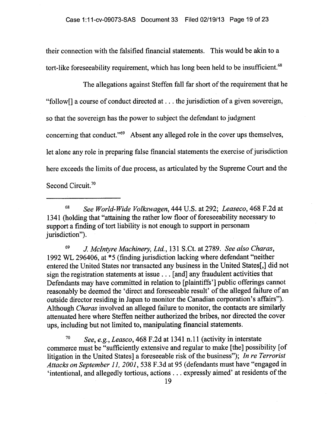their connection with the falsified financial statements. This would be akin to a tort-like foreseeability requirement, which has long been held to be insufficient.<sup>68</sup>

The allegations against Steffen fall far short of the requirement that he "follow[] a course of conduct directed at . . . the jurisdiction of a given sovereign, so that the sovereign has the power to subject the defendant to judgment concerning that conduct."<sup>69</sup> Absent any alleged role in the cover ups themselves, let alone any role in preparing false financial statements the exercise of jurisdiction here exceeds the limits of due process, as articulated by the Supreme Court and the Second Circuit.<sup>70</sup>

<sup>68</sup>*See World-Wide Volkswagen,* 444 U.S. at 292; *Leaseco,* 468 F.2d at 1341 (holding that "attaining the rather low floor of foreseeability necessary to support a finding of tort liability is not enough to support in personam jurisdiction").

<sup>69</sup>*J McIntyre Machinery, Ltd.,* 131 S.Ct. at 2789. *See also Charas,*  1992 WL 296406, at \*5 (finding jurisdiction lacking where defendant "neither entered the United States nor transacted any business in the United States[,] did not sign the registration statements at issue . . . [and] any fraudulent activities that Defendants may have committed in relation to [plaintiffs'] public offerings cannot reasonably be deemed the 'direct and foreseeable result' of the alleged failure of an outside director residing in Japan to monitor the Canadian corporation's affairs"). Although *Charas* involved an alleged failure to monitor, the contacts are similarly attenuated here where Steffen neither authorized the bribes, nor directed the cover ups, including but not limited to, manipulating financial statements.

<sup>70</sup>*See, e.g., Leasco,* 468 F.2d at 1341 n.11 (activity in interstate commerce must be "sufficiently extensive and regular to make [the] possibility [of litigation in the United States] a foreseeable risk of the business"); *In re Terrorist Attacks on September 11, 2001,* 538 F.3d at 95 (defendants must have "engaged in `intentional, and allegedly tortious, actions . . . expressly aimed' at residents of the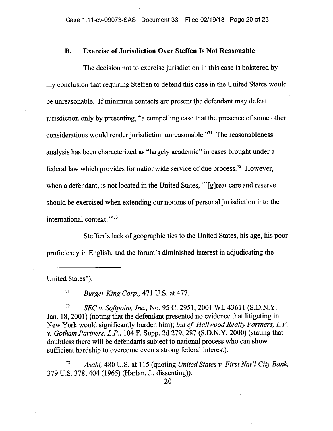#### **B. Exercise of Jurisdiction Over Steffen Is Not Reasonable**

The decision not to exercise jurisdiction in this case is bolstered by my conclusion that requiring Steffen to defend this case in the United States would be unreasonable. If minimum contacts are present the defendant may defeat jurisdiction only by presenting, "a compelling case that the presence of some other considerations would render jurisdiction unreasonable."<sup> $71$ </sup> The reasonableness analysis has been characterized as "largely academic" in cases brought under a federal law which provides for nationwide service of due process.<sup>72</sup> However, when a defendant, is not located in the United States, "[g]reat care and reserve should be exercised when extending our notions of personal jurisdiction into the international context."<sup>73</sup>

Steffen's lack of geographic ties to the United States, his age, his poor proficiency in English, and the forum's diminished interest in adjudicating the

United States").

<sup>71</sup>*Burger King Corp.,* 471 U.S. at 477.

<sup>72</sup>*SEC v. Softpoint, Inc.,* No. 95 C. 2951, 2001 WL 43611 (S.D.N.Y. Jan. 18, 2001) (noting that the defendant presented no evidence that litigating in New York would significantly burden him); *but cf. Hallwood Realty Partners, L.P. v. Gotham Partners, L.P.,* **104** F. Supp. 2d 279, 287 (S.D.N.Y. 2000) (stating that doubtless there will be defendants subject to national process who can show sufficient hardship to overcome even a strong federal interest).

*<sup>73</sup>Asahi,* 480 U.S. at 115 (quoting *United States v. First Nat'l City Bank,*  379 U.S. 378, 404 (1965) (Harlan, J., dissenting)).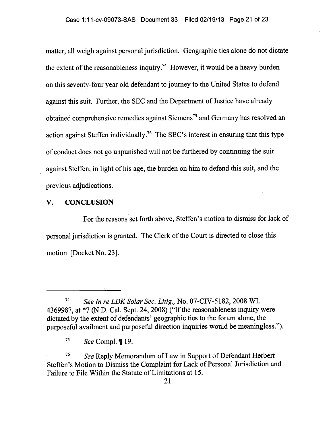matter, all weigh against personal jurisdiction. Geographic ties alone do not dictate the extent of the reasonableness inquiry.<sup>74</sup> However, it would be a heavy burden on this seventy-four year old defendant to journey to the United States to defend against this suit. Further, the SEC and the Department of Justice have already obtained comprehensive remedies against Siemens<sup>75</sup> and Germany has resolved an action against Steffen individually.<sup>76</sup> The SEC's interest in ensuring that this type of conduct does not go unpunished will not be furthered by continuing the suit against Steffen, in light of his age, the burden on him to defend this suit, and the previous adjudications.

### V. CONCLUSION

For the reasons set forth above, Steffen's motion to dismiss for lack of personal jurisdiction is granted. The Clerk of the Court is directed to close this motion [Docket No. 23].

<sup>76</sup>*See* Reply Memorandum of Law in Support of Defendant Herbert Steffen's Motion to Dismiss the Complaint for Lack of Personal Jurisdiction and Failure to File Within the Statute of Limitations at 15.

*<sup>74</sup>See In re LDK Solar Sec. Litig.,* No. 07-CIV-5182, 2008 WL 4369987, at \*7 (N.D. Cal. Sept. 24, 2008) ("If the reasonableness inquiry were dictated by the extent of defendants' geographic ties to the forum alone, the purposeful availment and purposeful direction inquiries would be meaningless.").

<sup>75</sup>*See* Compl. ¶ 19.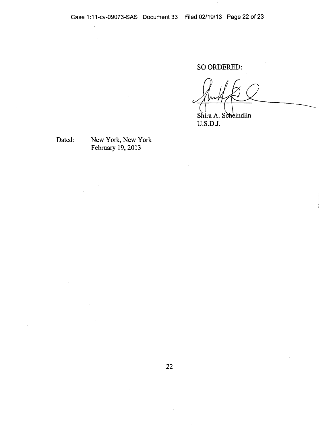SO ORDERED:

Shira A. Scheindlin U.S.D.J.

Dated: New York, New York February 19, 2013